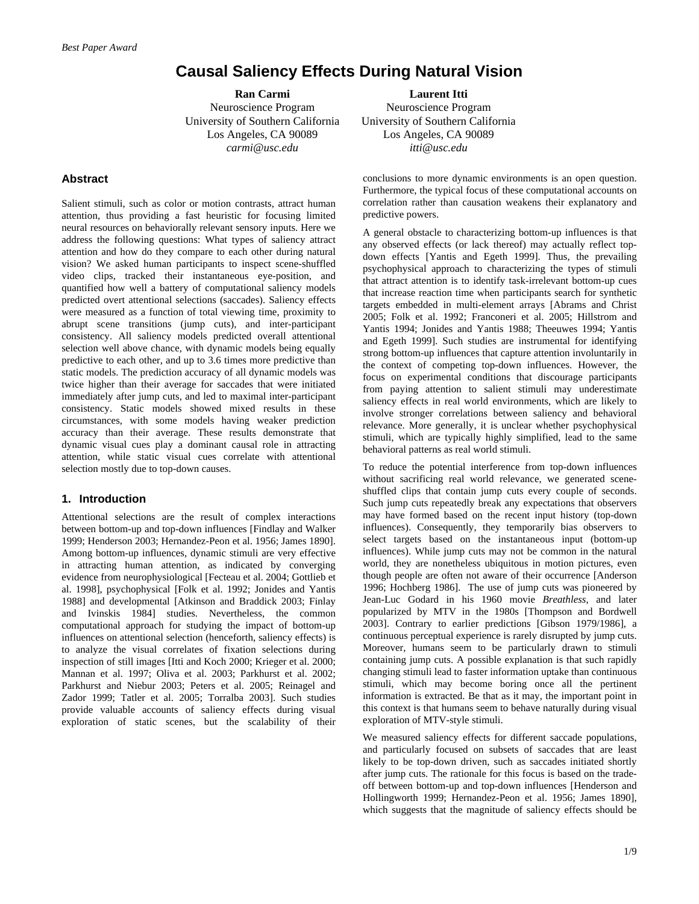# **Causal Saliency Effects During Natural Vision**

**Ran Carmi**  Neuroscience Program University of Southern California Los Angeles, CA 90089 *carmi@usc.edu*

# **Abstract**

Salient stimuli, such as color or motion contrasts, attract human attention, thus providing a fast heuristic for focusing limited neural resources on behaviorally relevant sensory inputs. Here we address the following questions: What types of saliency attract attention and how do they compare to each other during natural vision? We asked human participants to inspect scene-shuffled video clips, tracked their instantaneous eye-position, and quantified how well a battery of computational saliency models predicted overt attentional selections (saccades). Saliency effects were measured as a function of total viewing time, proximity to abrupt scene transitions (jump cuts), and inter-participant consistency. All saliency models predicted overall attentional selection well above chance, with dynamic models being equally predictive to each other, and up to 3.6 times more predictive than static models. The prediction accuracy of all dynamic models was twice higher than their average for saccades that were initiated immediately after jump cuts, and led to maximal inter-participant consistency. Static models showed mixed results in these circumstances, with some models having weaker prediction accuracy than their average. These results demonstrate that dynamic visual cues play a dominant causal role in attracting attention, while static visual cues correlate with attentional selection mostly due to top-down causes.

## **1. Introduction**

Attentional selections are the result of complex interactions between bottom-up and top-down influences [Findlay and Walker 1999; Henderson 2003; Hernandez-Peon et al. 1956; James 1890]. Among bottom-up influences, dynamic stimuli are very effective in attracting human attention, as indicated by converging evidence from neurophysiological [Fecteau et al. 2004; Gottlieb et al. 1998], psychophysical [Folk et al. 1992; Jonides and Yantis 1988] and developmental [Atkinson and Braddick 2003; Finlay and Ivinskis 1984] studies. Nevertheless, the common computational approach for studying the impact of bottom-up influences on attentional selection (henceforth, saliency effects) is to analyze the visual correlates of fixation selections during inspection of still images [Itti and Koch 2000; Krieger et al. 2000; Mannan et al. 1997; Oliva et al. 2003; Parkhurst et al. 2002; Parkhurst and Niebur 2003; Peters et al. 2005; Reinagel and Zador 1999; Tatler et al. 2005; Torralba 2003]. Such studies provide valuable accounts of saliency effects during visual exploration of static scenes, but the scalability of their

**Laurent Itti**  Neuroscience Program University of Southern California Los Angeles, CA 90089 *itti@usc.edu* 

conclusions to more dynamic environments is an open question. Furthermore, the typical focus of these computational accounts on correlation rather than causation weakens their explanatory and predictive powers.

A general obstacle to characterizing bottom-up influences is that any observed effects (or lack thereof) may actually reflect topdown effects [Yantis and Egeth 1999]. Thus, the prevailing psychophysical approach to characterizing the types of stimuli that attract attention is to identify task-irrelevant bottom-up cues that increase reaction time when participants search for synthetic targets embedded in multi-element arrays [Abrams and Christ 2005; Folk et al. 1992; Franconeri et al. 2005; Hillstrom and Yantis 1994; Jonides and Yantis 1988; Theeuwes 1994; Yantis and Egeth 1999]. Such studies are instrumental for identifying strong bottom-up influences that capture attention involuntarily in the context of competing top-down influences. However, the focus on experimental conditions that discourage participants from paying attention to salient stimuli may underestimate saliency effects in real world environments, which are likely to involve stronger correlations between saliency and behavioral relevance. More generally, it is unclear whether psychophysical stimuli, which are typically highly simplified, lead to the same behavioral patterns as real world stimuli.

To reduce the potential interference from top-down influences without sacrificing real world relevance, we generated sceneshuffled clips that contain jump cuts every couple of seconds. Such jump cuts repeatedly break any expectations that observers may have formed based on the recent input history (top-down influences). Consequently, they temporarily bias observers to select targets based on the instantaneous input (bottom-up influences). While jump cuts may not be common in the natural world, they are nonetheless ubiquitous in motion pictures, even though people are often not aware of their occurrence [Anderson 1996; Hochberg 1986]. The use of jump cuts was pioneered by Jean-Luc Godard in his 1960 movie *Breathless*, and later popularized by MTV in the 1980s [Thompson and Bordwell 2003]. Contrary to earlier predictions [Gibson 1979/1986], a continuous perceptual experience is rarely disrupted by jump cuts. Moreover, humans seem to be particularly drawn to stimuli containing jump cuts. A possible explanation is that such rapidly changing stimuli lead to faster information uptake than continuous stimuli, which may become boring once all the pertinent information is extracted. Be that as it may, the important point in this context is that humans seem to behave naturally during visual exploration of MTV-style stimuli.

We measured saliency effects for different saccade populations, and particularly focused on subsets of saccades that are least likely to be top-down driven, such as saccades initiated shortly after jump cuts. The rationale for this focus is based on the tradeoff between bottom-up and top-down influences [Henderson and Hollingworth 1999; Hernandez-Peon et al. 1956; James 1890], which suggests that the magnitude of saliency effects should be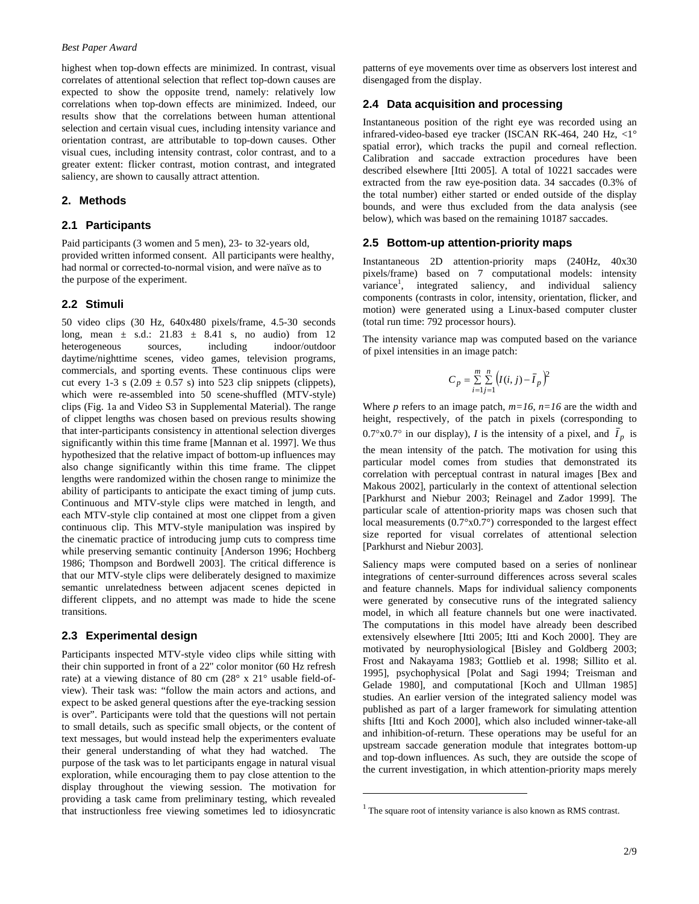highest when top-down effects are minimized. In contrast, visual correlates of attentional selection that reflect top-down causes are expected to show the opposite trend, namely: relatively low correlations when top-down effects are minimized. Indeed, our results show that the correlations between human attentional selection and certain visual cues, including intensity variance and orientation contrast, are attributable to top-down causes. Other visual cues, including intensity contrast, color contrast, and to a greater extent: flicker contrast, motion contrast, and integrated saliency, are shown to causally attract attention.

# **2. Methods**

# **2.1 Participants**

Paid participants (3 women and 5 men), 23- to 32-years old, provided written informed consent. All participants were healthy, had normal or corrected-to-normal vision, and were naïve as to the purpose of the experiment.

#### **2.2 Stimuli**

50 video clips (30 Hz, 640x480 pixels/frame, 4.5-30 seconds long, mean  $\pm$  s.d.: 21.83  $\pm$  8.41 s, no audio) from 12 heterogeneous sources, including indoor/outdoor daytime/nighttime scenes, video games, television programs, commercials, and sporting events. These continuous clips were cut every 1-3 s  $(2.09 \pm 0.57 \text{ s})$  into 523 clip snippets (clippets), which were re-assembled into 50 scene-shuffled (MTV-style) clips (Fig. 1a and Video S3 in Supplemental Material). The range of clippet lengths was chosen based on previous results showing that inter-participants consistency in attentional selection diverges significantly within this time frame [Mannan et al. 1997]. We thus hypothesized that the relative impact of bottom-up influences may also change significantly within this time frame. The clippet lengths were randomized within the chosen range to minimize the ability of participants to anticipate the exact timing of jump cuts. Continuous and MTV-style clips were matched in length, and each MTV-style clip contained at most one clippet from a given continuous clip. This MTV-style manipulation was inspired by the cinematic practice of introducing jump cuts to compress time while preserving semantic continuity [Anderson 1996; Hochberg 1986; Thompson and Bordwell 2003]. The critical difference is that our MTV-style clips were deliberately designed to maximize semantic unrelatedness between adjacent scenes depicted in different clippets, and no attempt was made to hide the scene transitions.

# **2.3 Experimental design**

Participants inspected MTV-style video clips while sitting with their chin supported in front of a 22'' color monitor (60 Hz refresh rate) at a viewing distance of 80 cm (28° x 21° usable field-ofview). Their task was: "follow the main actors and actions, and expect to be asked general questions after the eye-tracking session is over". Participants were told that the questions will not pertain to small details, such as specific small objects, or the content of text messages, but would instead help the experimenters evaluate their general understanding of what they had watched. The purpose of the task was to let participants engage in natural visual exploration, while encouraging them to pay close attention to the display throughout the viewing session. The motivation for providing a task came from preliminary testing, which revealed that instructionless free viewing sometimes led to idiosyncratic

patterns of eye movements over time as observers lost interest and disengaged from the display.

# **2.4 Data acquisition and processing**

Instantaneous position of the right eye was recorded using an infrared-video-based eye tracker (ISCAN RK-464, 240 Hz, <1° spatial error), which tracks the pupil and corneal reflection. Calibration and saccade extraction procedures have been described elsewhere [Itti 2005]. A total of 10221 saccades were extracted from the raw eye-position data. 34 saccades (0.3% of the total number) either started or ended outside of the display bounds, and were thus excluded from the data analysis (see below), which was based on the remaining 10187 saccades.

# **2.5 Bottom-up attention-priority maps**

Instantaneous 2D attention-priority maps (240Hz, 40x30 pixels/frame) based on 7 computational models: intensity  $variance<sup>1</sup>$ , integrated saliency, and individual saliency components (contrasts in color, intensity, orientation, flicker, and motion) were generated using a Linux-based computer cluster (total run time: 792 processor hours).

The intensity variance map was computed based on the variance of pixel intensities in an image patch:

$$
C_p = \sum_{i=1}^{m} \sum_{j=1}^{n} (I(i, j) - \bar{I}_p)^2
$$

Where *p* refers to an image patch,  $m=16$ ,  $n=16$  are the width and height, respectively, of the patch in pixels (corresponding to 0.7°x0.7° in our display), *I* is the intensity of a pixel, and  $\overline{I}_p$  is the mean intensity of the patch. The motivation for using this particular model comes from studies that demonstrated its correlation with perceptual contrast in natural images [Bex and Makous 2002], particularly in the context of attentional selection [Parkhurst and Niebur 2003; Reinagel and Zador 1999]. The particular scale of attention-priority maps was chosen such that local measurements  $(0.7°x0.7°)$  corresponded to the largest effect size reported for visual correlates of attentional selection [Parkhurst and Niebur 2003].

Saliency maps were computed based on a series of nonlinear integrations of center-surround differences across several scales and feature channels. Maps for individual saliency components were generated by consecutive runs of the integrated saliency model, in which all feature channels but one were inactivated. The computations in this model have already been described extensively elsewhere [Itti 2005; Itti and Koch 2000]. They are motivated by neurophysiological [Bisley and Goldberg 2003; Frost and Nakayama 1983; Gottlieb et al. 1998; Sillito et al. 1995], psychophysical [Polat and Sagi 1994; Treisman and Gelade 1980], and computational [Koch and Ullman 1985] studies. An earlier version of the integrated saliency model was published as part of a larger framework for simulating attention shifts [Itti and Koch 2000], which also included winner-take-all and inhibition-of-return. These operations may be useful for an upstream saccade generation module that integrates bottom-up and top-down influences. As such, they are outside the scope of the current investigation, in which attention-priority maps merely

1

<sup>&</sup>lt;sup>1</sup> The square root of intensity variance is also known as RMS contrast.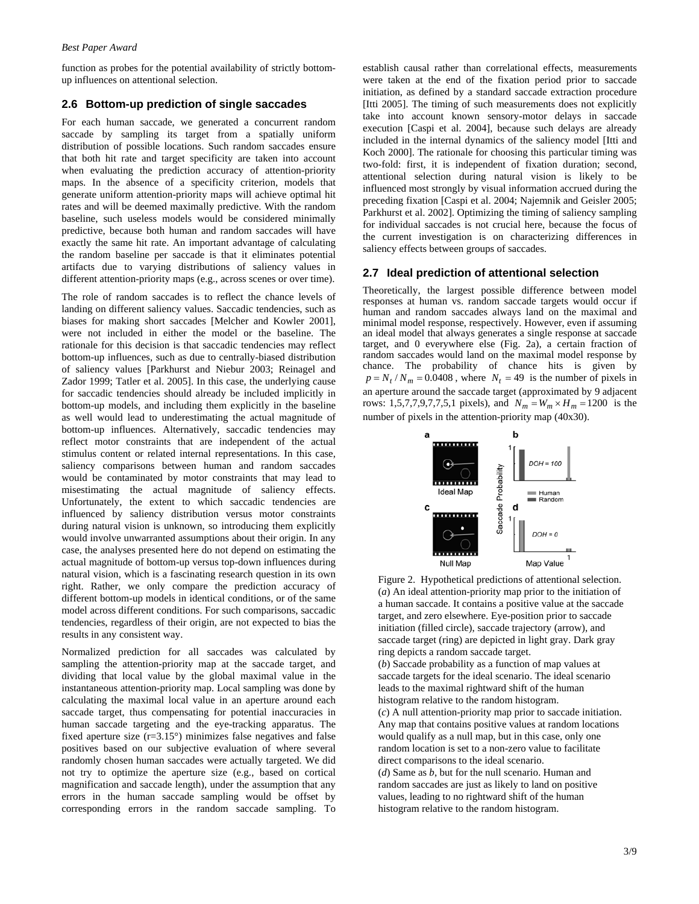function as probes for the potential availability of strictly bottomup influences on attentional selection.

# **2.6 Bottom-up prediction of single saccades**

For each human saccade, we generated a concurrent random saccade by sampling its target from a spatially uniform distribution of possible locations. Such random saccades ensure that both hit rate and target specificity are taken into account when evaluating the prediction accuracy of attention-priority maps. In the absence of a specificity criterion, models that generate uniform attention-priority maps will achieve optimal hit rates and will be deemed maximally predictive. With the random baseline, such useless models would be considered minimally predictive, because both human and random saccades will have exactly the same hit rate. An important advantage of calculating the random baseline per saccade is that it eliminates potential artifacts due to varying distributions of saliency values in different attention-priority maps (e.g., across scenes or over time).

The role of random saccades is to reflect the chance levels of landing on different saliency values. Saccadic tendencies, such as biases for making short saccades [Melcher and Kowler 2001], were not included in either the model or the baseline. The rationale for this decision is that saccadic tendencies may reflect bottom-up influences, such as due to centrally-biased distribution of saliency values [Parkhurst and Niebur 2003; Reinagel and Zador 1999; Tatler et al. 2005]. In this case, the underlying cause for saccadic tendencies should already be included implicitly in bottom-up models, and including them explicitly in the baseline as well would lead to underestimating the actual magnitude of bottom-up influences. Alternatively, saccadic tendencies may reflect motor constraints that are independent of the actual stimulus content or related internal representations. In this case, saliency comparisons between human and random saccades would be contaminated by motor constraints that may lead to misestimating the actual magnitude of saliency effects. Unfortunately, the extent to which saccadic tendencies are influenced by saliency distribution versus motor constraints during natural vision is unknown, so introducing them explicitly would involve unwarranted assumptions about their origin. In any case, the analyses presented here do not depend on estimating the actual magnitude of bottom-up versus top-down influences during natural vision, which is a fascinating research question in its own right. Rather, we only compare the prediction accuracy of different bottom-up models in identical conditions, or of the same model across different conditions. For such comparisons, saccadic tendencies, regardless of their origin, are not expected to bias the results in any consistent way.

Normalized prediction for all saccades was calculated by sampling the attention-priority map at the saccade target, and dividing that local value by the global maximal value in the instantaneous attention-priority map. Local sampling was done by calculating the maximal local value in an aperture around each saccade target, thus compensating for potential inaccuracies in human saccade targeting and the eye-tracking apparatus. The fixed aperture size  $(r=3.15^{\circ})$  minimizes false negatives and false positives based on our subjective evaluation of where several randomly chosen human saccades were actually targeted. We did not try to optimize the aperture size (e.g., based on cortical magnification and saccade length), under the assumption that any errors in the human saccade sampling would be offset by corresponding errors in the random saccade sampling. To

establish causal rather than correlational effects, measurements were taken at the end of the fixation period prior to saccade initiation, as defined by a standard saccade extraction procedure [Itti 2005]. The timing of such measurements does not explicitly take into account known sensory-motor delays in saccade execution [Caspi et al. 2004], because such delays are already included in the internal dynamics of the saliency model [Itti and Koch 2000]. The rationale for choosing this particular timing was two-fold: first, it is independent of fixation duration; second, attentional selection during natural vision is likely to be influenced most strongly by visual information accrued during the preceding fixation [Caspi et al. 2004; Najemnik and Geisler 2005; Parkhurst et al. 2002]. Optimizing the timing of saliency sampling for individual saccades is not crucial here, because the focus of the current investigation is on characterizing differences in saliency effects between groups of saccades.

#### **2.7 Ideal prediction of attentional selection**

Theoretically, the largest possible difference between model responses at human vs. random saccade targets would occur if human and random saccades always land on the maximal and minimal model response, respectively. However, even if assuming an ideal model that always generates a single response at saccade target, and 0 everywhere else (Fig. 2a), a certain fraction of random saccades would land on the maximal model response by chance. The probability of chance hits is given by  $p = N_t / N_m = 0.0408$ , where  $N_t = 49$  is the number of pixels in an aperture around the saccade target (approximated by 9 adjacent rows: 1,5,7,7,9,7,7,5,1 pixels), and  $N_m = W_m \times H_m = 1200$  is the number of pixels in the attention-priority map (40x30).



Figure 2. Hypothetical predictions of attentional selection. (*a*) An ideal attention-priority map prior to the initiation of a human saccade. It contains a positive value at the saccade target, and zero elsewhere. Eye-position prior to saccade initiation (filled circle), saccade trajectory (arrow), and saccade target (ring) are depicted in light gray. Dark gray ring depicts a random saccade target.

(*b*) Saccade probability as a function of map values at saccade targets for the ideal scenario. The ideal scenario leads to the maximal rightward shift of the human histogram relative to the random histogram.

(*c*) A null attention-priority map prior to saccade initiation. Any map that contains positive values at random locations would qualify as a null map, but in this case, only one random location is set to a non-zero value to facilitate direct comparisons to the ideal scenario.

(*d*) Same as *b*, but for the null scenario. Human and random saccades are just as likely to land on positive values, leading to no rightward shift of the human histogram relative to the random histogram.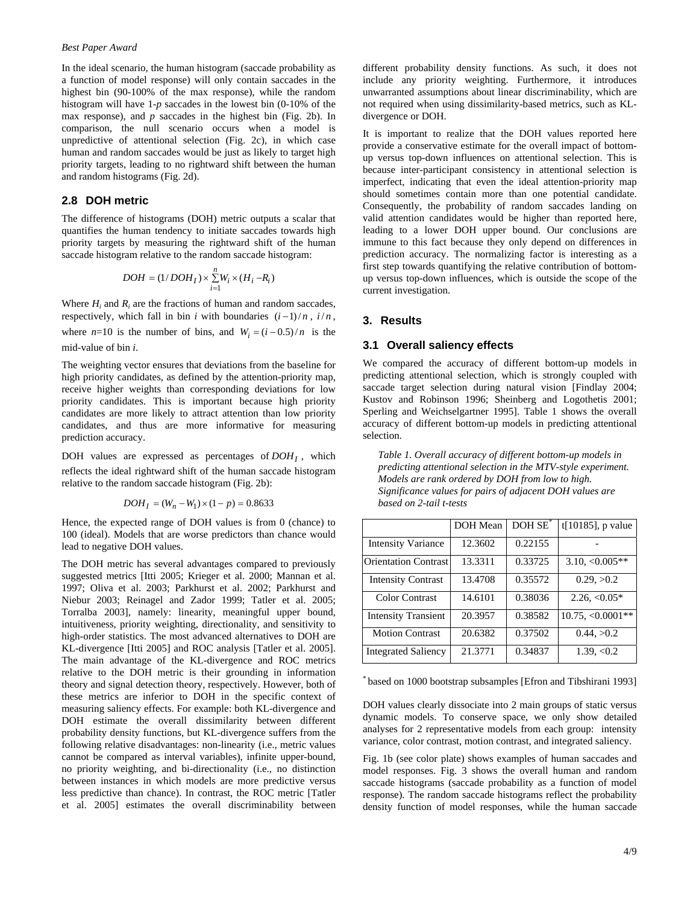In the ideal scenario, the human histogram (saccade probability as a function of model response) will only contain saccades in the highest bin (90-100% of the max response), while the random histogram will have 1-*p* saccades in the lowest bin (0-10% of the max response), and *p* saccades in the highest bin (Fig. 2b). In comparison, the null scenario occurs when a model is unpredictive of attentional selection (Fig. 2c), in which case human and random saccades would be just as likely to target high priority targets, leading to no rightward shift between the human and random histograms (Fig. 2d).

# **2.8 DOH metric**

The difference of histograms (DOH) metric outputs a scalar that quantifies the human tendency to initiate saccades towards high priority targets by measuring the rightward shift of the human saccade histogram relative to the random saccade histogram:

$$
DOH = (1/DOH_I) \times \sum_{i=1}^{n} W_i \times (H_i - R_i)
$$

Where  $H_i$  and  $R_i$  are the fractions of human and random saccades, respectively, which fall in bin *i* with boundaries  $(i-1)/n$ ,  $i/n$ , where  $n=10$  is the number of bins, and  $W_i = (i-0.5)/n$  is the mid-value of bin *i*.

The weighting vector ensures that deviations from the baseline for high priority candidates, as defined by the attention-priority map, receive higher weights than corresponding deviations for low priority candidates. This is important because high priority candidates are more likely to attract attention than low priority candidates, and thus are more informative for measuring prediction accuracy.

DOH values are expressed as percentages of *DOHI* , which reflects the ideal rightward shift of the human saccade histogram relative to the random saccade histogram (Fig. 2b):

$$
DOH_I = (W_n - W_1) \times (1 - p) = 0.8633
$$

Hence, the expected range of DOH values is from 0 (chance) to 100 (ideal). Models that are worse predictors than chance would lead to negative DOH values.

The DOH metric has several advantages compared to previously suggested metrics [Itti 2005; Krieger et al. 2000; Mannan et al. 1997; Oliva et al. 2003; Parkhurst et al. 2002; Parkhurst and Niebur 2003; Reinagel and Zador 1999; Tatler et al. 2005; Torralba 2003], namely: linearity, meaningful upper bound, intuitiveness, priority weighting, directionality, and sensitivity to high-order statistics. The most advanced alternatives to DOH are KL-divergence [Itti 2005] and ROC analysis [Tatler et al. 2005]. The main advantage of the KL-divergence and ROC metrics relative to the DOH metric is their grounding in information theory and signal detection theory, respectively. However, both of these metrics are inferior to DOH in the specific context of measuring saliency effects. For example: both KL-divergence and DOH estimate the overall dissimilarity between different probability density functions, but KL-divergence suffers from the following relative disadvantages: non-linearity (i.e., metric values cannot be compared as interval variables), infinite upper-bound, no priority weighting, and bi-directionality (i.e., no distinction between instances in which models are more predictive versus less predictive than chance). In contrast, the ROC metric [Tatler et al. 2005] estimates the overall discriminability between different probability density functions. As such, it does not include any priority weighting. Furthermore, it introduces unwarranted assumptions about linear discriminability, which are not required when using dissimilarity-based metrics, such as KLdivergence or DOH.

It is important to realize that the DOH values reported here provide a conservative estimate for the overall impact of bottomup versus top-down influences on attentional selection. This is because inter-participant consistency in attentional selection is imperfect, indicating that even the ideal attention-priority map should sometimes contain more than one potential candidate. Consequently, the probability of random saccades landing on valid attention candidates would be higher than reported here, leading to a lower DOH upper bound. Our conclusions are immune to this fact because they only depend on differences in prediction accuracy. The normalizing factor is interesting as a first step towards quantifying the relative contribution of bottomup versus top-down influences, which is outside the scope of the current investigation.

#### **3. Results**

## **3.1 Overall saliency effects**

We compared the accuracy of different bottom-up models in predicting attentional selection, which is strongly coupled with saccade target selection during natural vision [Findlay 2004; Kustov and Robinson 1996; Sheinberg and Logothetis 2001; Sperling and Weichselgartner 1995]. Table 1 shows the overall accuracy of different bottom-up models in predicting attentional selection.

*Table 1. Overall accuracy of different bottom-up models in predicting attentional selection in the MTV-style experiment. Models are rank ordered by DOH from low to high. Significance values for pairs of adjacent DOH values are based on 2-tail t-tests* 

|                             | DOH Mean | DOH SE* | $t[10185]$ , p value |
|-----------------------------|----------|---------|----------------------|
| <b>Intensity Variance</b>   | 12.3602  | 0.22155 |                      |
| <b>Orientation Contrast</b> | 13.3311  | 0.33725 | $3.10, <0.005**$     |
| <b>Intensity Contrast</b>   | 13.4708  | 0.35572 | 0.29, >0.2           |
| Color Contrast              | 14.6101  | 0.38036 | $2.26, <0.05*$       |
| <b>Intensity Transient</b>  | 20.3957  | 0.38582 | $10.75, <0.0001**$   |
| <b>Motion Contrast</b>      | 20.6382  | 0.37502 | 0.44, >0.2           |
| <b>Integrated Saliency</b>  | 21.3771  | 0.34837 | 1.39, < 0.2          |

\* based on 1000 bootstrap subsamples [Efron and Tibshirani 1993]

DOH values clearly dissociate into 2 main groups of static versus dynamic models. To conserve space, we only show detailed analyses for 2 representative models from each group: intensity variance, color contrast, motion contrast, and integrated saliency.

Fig. 1b (see color plate) shows examples of human saccades and model responses. Fig. 3 shows the overall human and random saccade histograms (saccade probability as a function of model response). The random saccade histograms reflect the probability density function of model responses, while the human saccade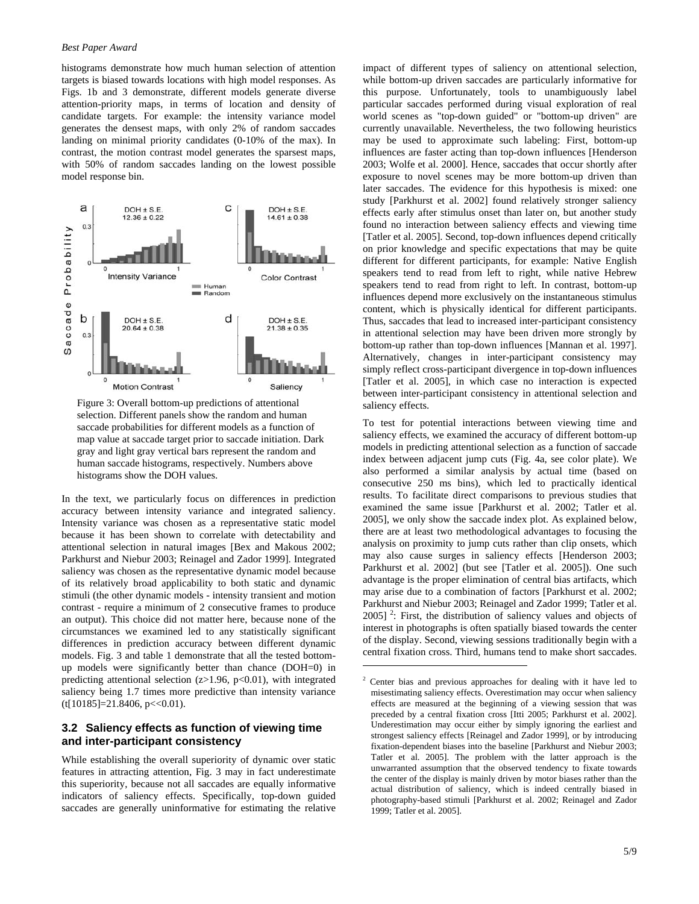histograms demonstrate how much human selection of attention targets is biased towards locations with high model responses. As Figs. 1b and 3 demonstrate, different models generate diverse attention-priority maps, in terms of location and density of candidate targets. For example: the intensity variance model generates the densest maps, with only 2% of random saccades landing on minimal priority candidates (0-10% of the max). In contrast, the motion contrast model generates the sparsest maps, with 50% of random saccades landing on the lowest possible model response bin.



Figure 3: Overall bottom-up predictions of attentional selection. Different panels show the random and human saccade probabilities for different models as a function of map value at saccade target prior to saccade initiation. Dark gray and light gray vertical bars represent the random and human saccade histograms, respectively. Numbers above histograms show the DOH values.

In the text, we particularly focus on differences in prediction accuracy between intensity variance and integrated saliency. Intensity variance was chosen as a representative static model because it has been shown to correlate with detectability and attentional selection in natural images [Bex and Makous 2002; Parkhurst and Niebur 2003; Reinagel and Zador 1999]. Integrated saliency was chosen as the representative dynamic model because of its relatively broad applicability to both static and dynamic stimuli (the other dynamic models - intensity transient and motion contrast - require a minimum of 2 consecutive frames to produce an output). This choice did not matter here, because none of the circumstances we examined led to any statistically significant differences in prediction accuracy between different dynamic models. Fig. 3 and table 1 demonstrate that all the tested bottomup models were significantly better than chance (DOH=0) in predicting attentional selection  $(z>1.96, p<0.01)$ , with integrated saliency being 1.7 times more predictive than intensity variance  $(t[10185]=21.8406, p\lt 0.01).$ 

# **3.2 Saliency effects as function of viewing time and inter-participant consistency**

While establishing the overall superiority of dynamic over static features in attracting attention, Fig. 3 may in fact underestimate this superiority, because not all saccades are equally informative indicators of saliency effects. Specifically, top-down guided saccades are generally uninformative for estimating the relative

impact of different types of saliency on attentional selection, while bottom-up driven saccades are particularly informative for this purpose. Unfortunately, tools to unambiguously label particular saccades performed during visual exploration of real world scenes as "top-down guided" or "bottom-up driven" are currently unavailable. Nevertheless, the two following heuristics may be used to approximate such labeling: First, bottom-up influences are faster acting than top-down influences [Henderson 2003; Wolfe et al. 2000]. Hence, saccades that occur shortly after exposure to novel scenes may be more bottom-up driven than later saccades. The evidence for this hypothesis is mixed: one study [Parkhurst et al. 2002] found relatively stronger saliency effects early after stimulus onset than later on, but another study found no interaction between saliency effects and viewing time [Tatler et al. 2005]. Second, top-down influences depend critically on prior knowledge and specific expectations that may be quite different for different participants, for example: Native English speakers tend to read from left to right, while native Hebrew speakers tend to read from right to left. In contrast, bottom-up influences depend more exclusively on the instantaneous stimulus content, which is physically identical for different participants. Thus, saccades that lead to increased inter-participant consistency in attentional selection may have been driven more strongly by bottom-up rather than top-down influences [Mannan et al. 1997]. Alternatively, changes in inter-participant consistency may simply reflect cross-participant divergence in top-down influences [Tatler et al. 2005], in which case no interaction is expected between inter-participant consistency in attentional selection and saliency effects.

To test for potential interactions between viewing time and saliency effects, we examined the accuracy of different bottom-up models in predicting attentional selection as a function of saccade index between adjacent jump cuts (Fig. 4a, see color plate). We also performed a similar analysis by actual time (based on consecutive 250 ms bins), which led to practically identical results. To facilitate direct comparisons to previous studies that examined the same issue [Parkhurst et al. 2002; Tatler et al. 2005], we only show the saccade index plot. As explained below, there are at least two methodological advantages to focusing the analysis on proximity to jump cuts rather than clip onsets, which may also cause surges in saliency effects [Henderson 2003; Parkhurst et al. 2002] (but see [Tatler et al. 2005]). One such advantage is the proper elimination of central bias artifacts, which may arise due to a combination of factors [Parkhurst et al. 2002; Parkhurst and Niebur 2003; Reinagel and Zador 1999; Tatler et al.  $2005$ <sup>2</sup>: First, the distribution of saliency values and objects of interest in photographs is often spatially biased towards the center of the display. Second, viewing sessions traditionally begin with a central fixation cross. Third, humans tend to make short saccades.

1

<sup>&</sup>lt;sup>2</sup> Center bias and previous approaches for dealing with it have led to misestimating saliency effects. Overestimation may occur when saliency effects are measured at the beginning of a viewing session that was preceded by a central fixation cross [Itti 2005; Parkhurst et al. 2002]. Underestimation may occur either by simply ignoring the earliest and strongest saliency effects [Reinagel and Zador 1999], or by introducing fixation-dependent biases into the baseline [Parkhurst and Niebur 2003; Tatler et al. 2005]. The problem with the latter approach is the unwarranted assumption that the observed tendency to fixate towards the center of the display is mainly driven by motor biases rather than the actual distribution of saliency, which is indeed centrally biased in photography-based stimuli [Parkhurst et al. 2002; Reinagel and Zador 1999; Tatler et al. 2005].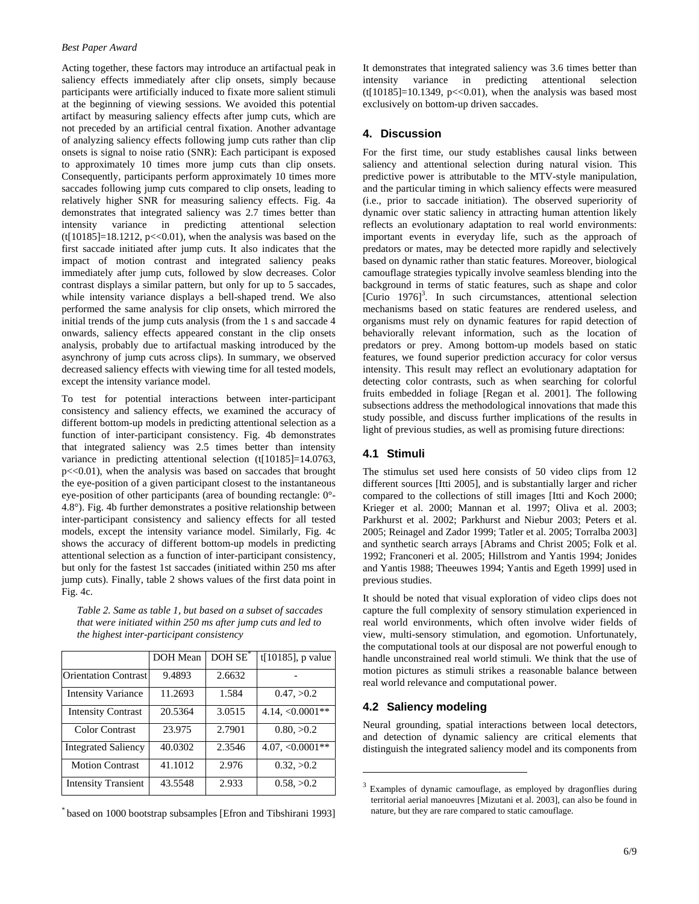Acting together, these factors may introduce an artifactual peak in saliency effects immediately after clip onsets, simply because participants were artificially induced to fixate more salient stimuli at the beginning of viewing sessions. We avoided this potential artifact by measuring saliency effects after jump cuts, which are not preceded by an artificial central fixation. Another advantage of analyzing saliency effects following jump cuts rather than clip onsets is signal to noise ratio (SNR): Each participant is exposed to approximately 10 times more jump cuts than clip onsets. Consequently, participants perform approximately 10 times more saccades following jump cuts compared to clip onsets, leading to relatively higher SNR for measuring saliency effects. Fig. 4a demonstrates that integrated saliency was 2.7 times better than intensity variance in predicting attentional selection  $(t[10185] = 18.1212, p \ll 0.01)$ , when the analysis was based on the first saccade initiated after jump cuts. It also indicates that the impact of motion contrast and integrated saliency peaks immediately after jump cuts, followed by slow decreases. Color contrast displays a similar pattern, but only for up to 5 saccades, while intensity variance displays a bell-shaped trend. We also performed the same analysis for clip onsets, which mirrored the initial trends of the jump cuts analysis (from the 1 s and saccade 4 onwards, saliency effects appeared constant in the clip onsets analysis, probably due to artifactual masking introduced by the asynchrony of jump cuts across clips). In summary, we observed decreased saliency effects with viewing time for all tested models, except the intensity variance model.

To test for potential interactions between inter-participant consistency and saliency effects, we examined the accuracy of different bottom-up models in predicting attentional selection as a function of inter-participant consistency. Fig. 4b demonstrates that integrated saliency was 2.5 times better than intensity variance in predicting attentional selection (t[10185]=14.0763,  $p \ll 0.01$ ), when the analysis was based on saccades that brought the eye-position of a given participant closest to the instantaneous eye-position of other participants (area of bounding rectangle: 0°- 4.8°). Fig. 4b further demonstrates a positive relationship between inter-participant consistency and saliency effects for all tested models, except the intensity variance model. Similarly, Fig. 4c shows the accuracy of different bottom-up models in predicting attentional selection as a function of inter-participant consistency, but only for the fastest 1st saccades (initiated within 250 ms after jump cuts). Finally, table 2 shows values of the first data point in Fig. 4c.

*Table 2. Same as table 1, but based on a subset of saccades that were initiated within 250 ms after jump cuts and led to the highest inter-participant consistency* 

|                             | DOH Mean | DOH $SE^*$ | $t[10185]$ , p value |
|-----------------------------|----------|------------|----------------------|
| <b>Orientation Contrast</b> | 9.4893   | 2.6632     |                      |
| <b>Intensity Variance</b>   | 11.2693  | 1.584      | 0.47, >0.2           |
| <b>Intensity Contrast</b>   | 20.5364  | 3.0515     | $4.14, <0.0001**$    |
| Color Contrast              | 23.975   | 2.7901     | 0.80, >0.2           |
| <b>Integrated Saliency</b>  | 40.0302  | 2.3546     | 4.07, $< 0.0001**$   |
| <b>Motion Contrast</b>      | 41.1012  | 2.976      | 0.32, >0.2           |
| <b>Intensity Transient</b>  | 43.5548  | 2.933      | 0.58, >0.2           |

\* based on 1000 bootstrap subsamples [Efron and Tibshirani 1993]

It demonstrates that integrated saliency was 3.6 times better than intensity variance in predicting attentional selection  $(t[10185]=10.1349, p\ll0.01)$ , when the analysis was based most exclusively on bottom-up driven saccades.

# **4. Discussion**

For the first time, our study establishes causal links between saliency and attentional selection during natural vision. This predictive power is attributable to the MTV-style manipulation, and the particular timing in which saliency effects were measured (i.e., prior to saccade initiation). The observed superiority of dynamic over static saliency in attracting human attention likely reflects an evolutionary adaptation to real world environments: important events in everyday life, such as the approach of predators or mates, may be detected more rapidly and selectively based on dynamic rather than static features. Moreover, biological camouflage strategies typically involve seamless blending into the background in terms of static features, such as shape and color [Curio 1976]<sup>3</sup>. In such circumstances, attentional selection mechanisms based on static features are rendered useless, and organisms must rely on dynamic features for rapid detection of behaviorally relevant information, such as the location of predators or prey. Among bottom-up models based on static features, we found superior prediction accuracy for color versus intensity. This result may reflect an evolutionary adaptation for detecting color contrasts, such as when searching for colorful fruits embedded in foliage [Regan et al. 2001]. The following subsections address the methodological innovations that made this study possible, and discuss further implications of the results in light of previous studies, as well as promising future directions:

# **4.1 Stimuli**

The stimulus set used here consists of 50 video clips from 12 different sources [Itti 2005], and is substantially larger and richer compared to the collections of still images [Itti and Koch 2000; Krieger et al. 2000; Mannan et al. 1997; Oliva et al. 2003; Parkhurst et al. 2002; Parkhurst and Niebur 2003; Peters et al. 2005; Reinagel and Zador 1999; Tatler et al. 2005; Torralba 2003] and synthetic search arrays [Abrams and Christ 2005; Folk et al. 1992; Franconeri et al. 2005; Hillstrom and Yantis 1994; Jonides and Yantis 1988; Theeuwes 1994; Yantis and Egeth 1999] used in previous studies.

It should be noted that visual exploration of video clips does not capture the full complexity of sensory stimulation experienced in real world environments, which often involve wider fields of view, multi-sensory stimulation, and egomotion. Unfortunately, the computational tools at our disposal are not powerful enough to handle unconstrained real world stimuli. We think that the use of motion pictures as stimuli strikes a reasonable balance between real world relevance and computational power.

# **4.2 Saliency modeling**

 $\overline{a}$ 

Neural grounding, spatial interactions between local detectors, and detection of dynamic saliency are critical elements that distinguish the integrated saliency model and its components from

<sup>&</sup>lt;sup>3</sup> Examples of dynamic camouflage, as employed by dragonflies during territorial aerial manoeuvres [Mizutani et al. 2003], can also be found in nature, but they are rare compared to static camouflage.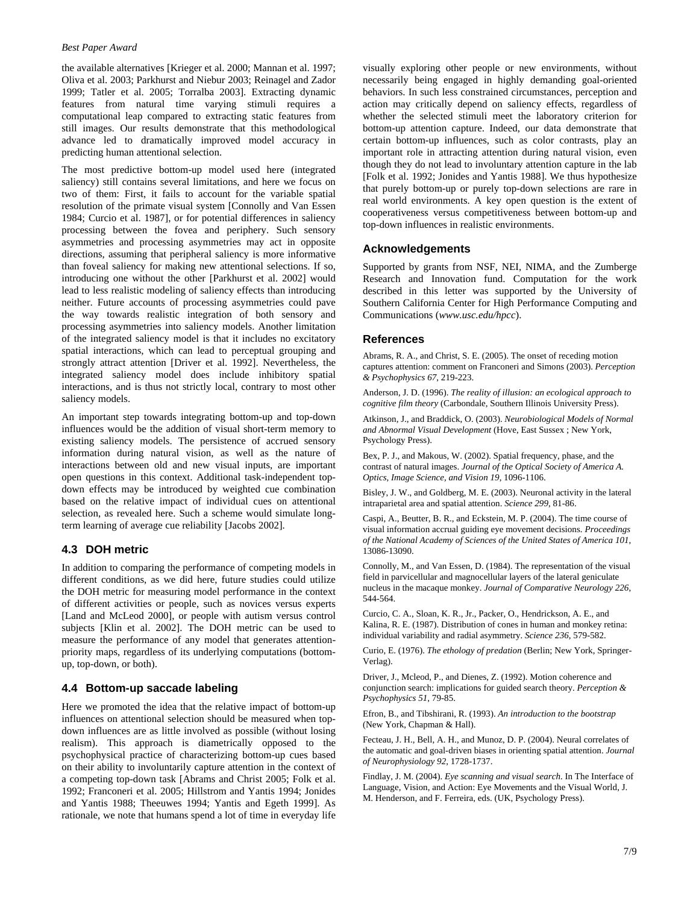the available alternatives [Krieger et al. 2000; Mannan et al. 1997; Oliva et al. 2003; Parkhurst and Niebur 2003; Reinagel and Zador 1999; Tatler et al. 2005; Torralba 2003]. Extracting dynamic features from natural time varying stimuli requires a computational leap compared to extracting static features from still images. Our results demonstrate that this methodological advance led to dramatically improved model accuracy in predicting human attentional selection.

The most predictive bottom-up model used here (integrated saliency) still contains several limitations, and here we focus on two of them: First, it fails to account for the variable spatial resolution of the primate visual system [Connolly and Van Essen 1984; Curcio et al. 1987], or for potential differences in saliency processing between the fovea and periphery. Such sensory asymmetries and processing asymmetries may act in opposite directions, assuming that peripheral saliency is more informative than foveal saliency for making new attentional selections. If so, introducing one without the other [Parkhurst et al. 2002] would lead to less realistic modeling of saliency effects than introducing neither. Future accounts of processing asymmetries could pave the way towards realistic integration of both sensory and processing asymmetries into saliency models. Another limitation of the integrated saliency model is that it includes no excitatory spatial interactions, which can lead to perceptual grouping and strongly attract attention [Driver et al. 1992]. Nevertheless, the integrated saliency model does include inhibitory spatial interactions, and is thus not strictly local, contrary to most other saliency models.

An important step towards integrating bottom-up and top-down influences would be the addition of visual short-term memory to existing saliency models. The persistence of accrued sensory information during natural vision, as well as the nature of interactions between old and new visual inputs, are important open questions in this context. Additional task-independent topdown effects may be introduced by weighted cue combination based on the relative impact of individual cues on attentional selection, as revealed here. Such a scheme would simulate longterm learning of average cue reliability [Jacobs 2002].

# **4.3 DOH metric**

In addition to comparing the performance of competing models in different conditions, as we did here, future studies could utilize the DOH metric for measuring model performance in the context of different activities or people, such as novices versus experts [Land and McLeod 2000], or people with autism versus control subjects [Klin et al. 2002]. The DOH metric can be used to measure the performance of any model that generates attentionpriority maps, regardless of its underlying computations (bottomup, top-down, or both).

## **4.4 Bottom-up saccade labeling**

Here we promoted the idea that the relative impact of bottom-up influences on attentional selection should be measured when topdown influences are as little involved as possible (without losing realism). This approach is diametrically opposed to the psychophysical practice of characterizing bottom-up cues based on their ability to involuntarily capture attention in the context of a competing top-down task [Abrams and Christ 2005; Folk et al. 1992; Franconeri et al. 2005; Hillstrom and Yantis 1994; Jonides and Yantis 1988; Theeuwes 1994; Yantis and Egeth 1999]. As rationale, we note that humans spend a lot of time in everyday life visually exploring other people or new environments, without necessarily being engaged in highly demanding goal-oriented behaviors. In such less constrained circumstances, perception and action may critically depend on saliency effects, regardless of whether the selected stimuli meet the laboratory criterion for bottom-up attention capture. Indeed, our data demonstrate that certain bottom-up influences, such as color contrasts, play an important role in attracting attention during natural vision, even though they do not lead to involuntary attention capture in the lab [Folk et al. 1992; Jonides and Yantis 1988]. We thus hypothesize that purely bottom-up or purely top-down selections are rare in real world environments. A key open question is the extent of cooperativeness versus competitiveness between bottom-up and top-down influences in realistic environments.

## **Acknowledgements**

Supported by grants from NSF, NEI, NIMA, and the Zumberge Research and Innovation fund. Computation for the work described in this letter was supported by the University of Southern California Center for High Performance Computing and Communications (*www.usc.edu/hpcc*).

#### **References**

Abrams, R. A., and Christ, S. E. (2005). The onset of receding motion captures attention: comment on Franconeri and Simons (2003). *Perception & Psychophysics 67*, 219-223.

Anderson, J. D. (1996). *The reality of illusion: an ecological approach to cognitive film theory* (Carbondale, Southern Illinois University Press).

Atkinson, J., and Braddick, O. (2003). *Neurobiological Models of Normal and Abnormal Visual Development* (Hove, East Sussex ; New York, Psychology Press).

Bex, P. J., and Makous, W. (2002). Spatial frequency, phase, and the contrast of natural images. *Journal of the Optical Society of America A. Optics, Image Science, and Vision 19*, 1096-1106.

Bisley, J. W., and Goldberg, M. E. (2003). Neuronal activity in the lateral intraparietal area and spatial attention. *Science 299*, 81-86.

Caspi, A., Beutter, B. R., and Eckstein, M. P. (2004). The time course of visual information accrual guiding eye movement decisions. *Proceedings of the National Academy of Sciences of the United States of America 101*, 13086-13090.

Connolly, M., and Van Essen, D. (1984). The representation of the visual field in parvicellular and magnocellular layers of the lateral geniculate nucleus in the macaque monkey. *Journal of Comparative Neurology 226*, 544-564.

Curcio, C. A., Sloan, K. R., Jr., Packer, O., Hendrickson, A. E., and Kalina, R. E. (1987). Distribution of cones in human and monkey retina: individual variability and radial asymmetry. *Science 236*, 579-582.

Curio, E. (1976). *The ethology of predation* (Berlin; New York, Springer-Verlag).

Driver, J., Mcleod, P., and Dienes, Z. (1992). Motion coherence and conjunction search: implications for guided search theory. *Perception & Psychophysics 51*, 79-85.

Efron, B., and Tibshirani, R. (1993). *An introduction to the bootstrap* (New York, Chapman & Hall).

Fecteau, J. H., Bell, A. H., and Munoz, D. P. (2004). Neural correlates of the automatic and goal-driven biases in orienting spatial attention. *Journal of Neurophysiology 92*, 1728-1737.

Findlay, J. M. (2004). *Eye scanning and visual search*. In The Interface of Language, Vision, and Action: Eye Movements and the Visual World, J. M. Henderson, and F. Ferreira, eds. (UK, Psychology Press).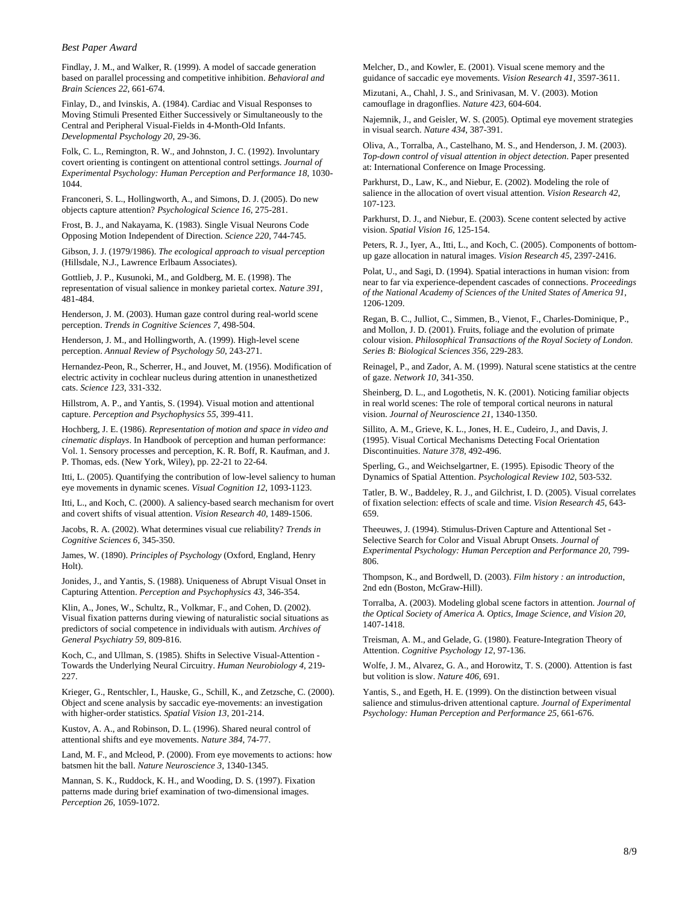Findlay, J. M., and Walker, R. (1999). A model of saccade generation based on parallel processing and competitive inhibition. *Behavioral and Brain Sciences 22*, 661-674.

Finlay, D., and Ivinskis, A. (1984). Cardiac and Visual Responses to Moving Stimuli Presented Either Successively or Simultaneously to the Central and Peripheral Visual-Fields in 4-Month-Old Infants. *Developmental Psychology 20*, 29-36.

Folk, C. L., Remington, R. W., and Johnston, J. C. (1992). Involuntary covert orienting is contingent on attentional control settings. *Journal of Experimental Psychology: Human Perception and Performance 18*, 1030- 1044.

Franconeri, S. L., Hollingworth, A., and Simons, D. J. (2005). Do new objects capture attention? *Psychological Science 16*, 275-281.

Frost, B. J., and Nakayama, K. (1983). Single Visual Neurons Code Opposing Motion Independent of Direction. *Science 220*, 744-745.

Gibson, J. J. (1979/1986). *The ecological approach to visual perception* (Hillsdale, N.J., Lawrence Erlbaum Associates).

Gottlieb, J. P., Kusunoki, M., and Goldberg, M. E. (1998). The representation of visual salience in monkey parietal cortex. *Nature 391*, 481-484.

Henderson, J. M. (2003). Human gaze control during real-world scene perception. *Trends in Cognitive Sciences 7*, 498-504.

Henderson, J. M., and Hollingworth, A. (1999). High-level scene perception. *Annual Review of Psychology 50*, 243-271.

Hernandez-Peon, R., Scherrer, H., and Jouvet, M. (1956). Modification of electric activity in cochlear nucleus during attention in unanesthetized cats. *Science 123*, 331-332.

Hillstrom, A. P., and Yantis, S. (1994). Visual motion and attentional capture. *Perception and Psychophysics 55*, 399-411.

Hochberg, J. E. (1986). *Representation of motion and space in video and cinematic displays*. In Handbook of perception and human performance: Vol. 1. Sensory processes and perception, K. R. Boff, R. Kaufman, and J. P. Thomas, eds. (New York, Wiley), pp. 22-21 to 22-64.

Itti, L. (2005). Quantifying the contribution of low-level saliency to human eye movements in dynamic scenes. *Visual Cognition 12*, 1093-1123.

Itti, L., and Koch, C. (2000). A saliency-based search mechanism for overt and covert shifts of visual attention. *Vision Research 40*, 1489-1506.

Jacobs, R. A. (2002). What determines visual cue reliability? *Trends in Cognitive Sciences 6*, 345-350.

James, W. (1890). *Principles of Psychology* (Oxford, England, Henry Holt).

Jonides, J., and Yantis, S. (1988). Uniqueness of Abrupt Visual Onset in Capturing Attention. *Perception and Psychophysics 43*, 346-354.

Klin, A., Jones, W., Schultz, R., Volkmar, F., and Cohen, D. (2002). Visual fixation patterns during viewing of naturalistic social situations as predictors of social competence in individuals with autism. *Archives of General Psychiatry 59*, 809-816.

Koch, C., and Ullman, S. (1985). Shifts in Selective Visual-Attention - Towards the Underlying Neural Circuitry. *Human Neurobiology 4*, 219- 227.

Krieger, G., Rentschler, I., Hauske, G., Schill, K., and Zetzsche, C. (2000). Object and scene analysis by saccadic eye-movements: an investigation with higher-order statistics. *Spatial Vision 13*, 201-214.

Kustov, A. A., and Robinson, D. L. (1996). Shared neural control of attentional shifts and eye movements. *Nature 384*, 74-77.

Land, M. F., and Mcleod, P. (2000). From eye movements to actions: how batsmen hit the ball. *Nature Neuroscience 3*, 1340-1345.

Mannan, S. K., Ruddock, K. H., and Wooding, D. S. (1997). Fixation patterns made during brief examination of two-dimensional images. *Perception 26*, 1059-1072.

Melcher, D., and Kowler, E. (2001). Visual scene memory and the guidance of saccadic eye movements. *Vision Research 41*, 3597-3611.

Mizutani, A., Chahl, J. S., and Srinivasan, M. V. (2003). Motion camouflage in dragonflies. *Nature 423*, 604-604.

Najemnik, J., and Geisler, W. S. (2005). Optimal eye movement strategies in visual search. *Nature 434*, 387-391.

Oliva, A., Torralba, A., Castelhano, M. S., and Henderson, J. M. (2003). *Top-down control of visual attention in object detection*. Paper presented at: International Conference on Image Processing.

Parkhurst, D., Law, K., and Niebur, E. (2002). Modeling the role of salience in the allocation of overt visual attention. *Vision Research 42*, 107-123.

Parkhurst, D. J., and Niebur, E. (2003). Scene content selected by active vision. *Spatial Vision 16*, 125-154.

Peters, R. J., Iyer, A., Itti, L., and Koch, C. (2005). Components of bottomup gaze allocation in natural images. *Vision Research 45*, 2397-2416.

Polat, U., and Sagi, D. (1994). Spatial interactions in human vision: from near to far via experience-dependent cascades of connections. *Proceedings of the National Academy of Sciences of the United States of America 91*, 1206-1209.

Regan, B. C., Julliot, C., Simmen, B., Vienot, F., Charles-Dominique, P., and Mollon, J. D. (2001). Fruits, foliage and the evolution of primate colour vision. *Philosophical Transactions of the Royal Society of London. Series B: Biological Sciences 356*, 229-283.

Reinagel, P., and Zador, A. M. (1999). Natural scene statistics at the centre of gaze. *Network 10*, 341-350.

Sheinberg, D. L., and Logothetis, N. K. (2001). Noticing familiar objects in real world scenes: The role of temporal cortical neurons in natural vision. *Journal of Neuroscience 21*, 1340-1350.

Sillito, A. M., Grieve, K. L., Jones, H. E., Cudeiro, J., and Davis, J. (1995). Visual Cortical Mechanisms Detecting Focal Orientation Discontinuities. *Nature 378*, 492-496.

Sperling, G., and Weichselgartner, E. (1995). Episodic Theory of the Dynamics of Spatial Attention. *Psychological Review 102*, 503-532.

Tatler, B. W., Baddeley, R. J., and Gilchrist, I. D. (2005). Visual correlates of fixation selection: effects of scale and time. *Vision Research 45*, 643- 659.

Theeuwes, J. (1994). Stimulus-Driven Capture and Attentional Set - Selective Search for Color and Visual Abrupt Onsets. *Journal of Experimental Psychology: Human Perception and Performance 20*, 799- 806.

Thompson, K., and Bordwell, D. (2003). *Film history : an introduction*, 2nd edn (Boston, McGraw-Hill).

Torralba, A. (2003). Modeling global scene factors in attention. *Journal of the Optical Society of America A. Optics, Image Science, and Vision 20*, 1407-1418.

Treisman, A. M., and Gelade, G. (1980). Feature-Integration Theory of Attention. *Cognitive Psychology 12*, 97-136.

Wolfe, J. M., Alvarez, G. A., and Horowitz, T. S. (2000). Attention is fast but volition is slow. *Nature 406*, 691.

Yantis, S., and Egeth, H. E. (1999). On the distinction between visual salience and stimulus-driven attentional capture. *Journal of Experimental Psychology: Human Perception and Performance 25*, 661-676.